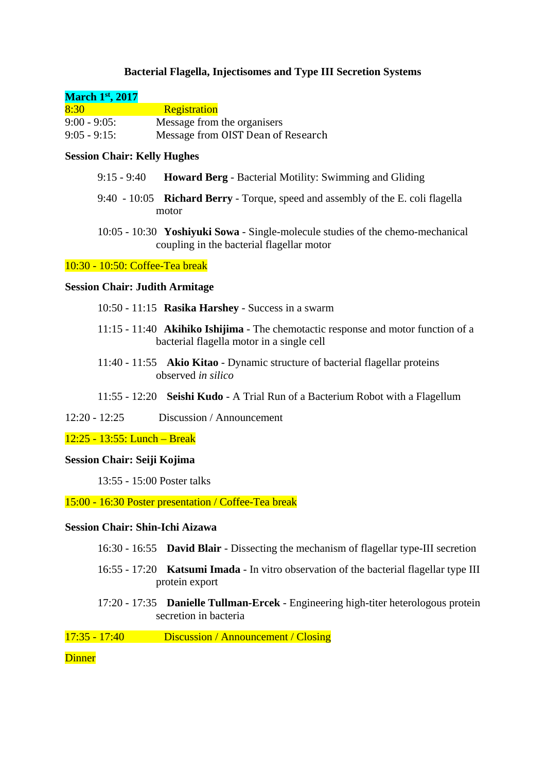# **Bacterial Flagella, Injectisomes and Type III Secretion Systems**

# **March 1st, 2017**

| 8:30          | <b>Registration</b>                |
|---------------|------------------------------------|
| $9:00 - 9:05$ | Message from the organisers        |
| $9:05 - 9:15$ | Message from OIST Dean of Research |

# **Session Chair: Kelly Hughes**

- 9:15 9:40 **Howard Berg** Bacterial Motility: Swimming and Gliding
- 9:40 10:05 **Richard Berry** Torque, speed and assembly of the E. coli flagella motor
- 10:05 10:30 **Yoshiyuki Sowa** Single-molecule studies of the chemo-mechanical coupling in the bacterial flagellar motor

#### 10:30 - 10:50: Coffee-Tea break

#### **Session Chair: Judith Armitage**

- 10:50 11:15 **Rasika Harshey** Success in a swarm
- 11:15 11:40 **Akihiko Ishijima** The chemotactic response and motor function of a bacterial flagella motor in a single cell
- 11:40 11:55 **Akio Kitao** Dynamic structure of bacterial flagellar proteins observed *in silico*
- 11:55 12:20 **Seishi Kudo** A Trial Run of a Bacterium Robot with a Flagellum
- 12:20 12:25 Discussion / Announcement

## 12:25 - 13:55: Lunch – Break

## **Session Chair: Seiji Kojima**

13:55 - 15:00 Poster talks

#### 15:00 - 16:30 Poster presentation / Coffee-Tea break

## **Session Chair: Shin-Ichi Aizawa**

- 16:30 16:55 **David Blair** Dissecting the mechanism of flagellar type-III secretion
- 16:55 17:20 **Katsumi Imada** In vitro observation of the bacterial flagellar type III protein export
- 17:20 17:35 **Danielle Tullman-Ercek** Engineering high-titer heterologous protein secretion in bacteria

17:35 - 17:40 Discussion / Announcement / Closing

#### **Dinner**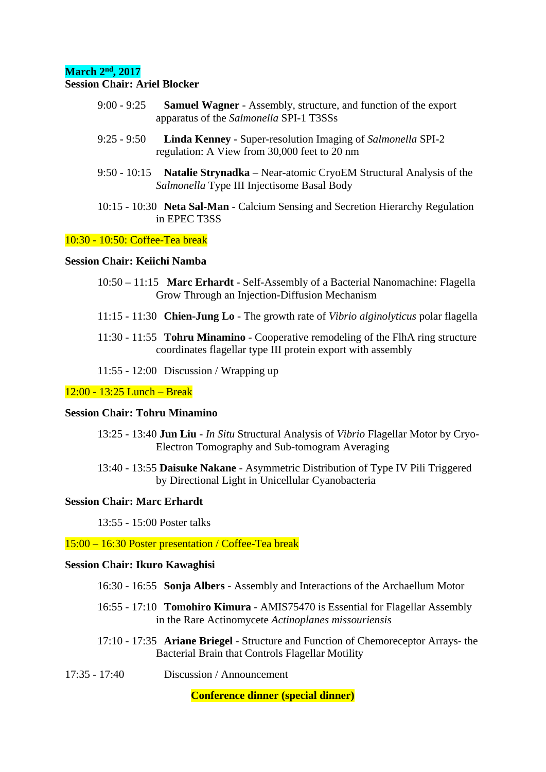## **March 2nd, 2017**

## **Session Chair: Ariel Blocker**

- 9:00 9:25 **Samuel Wagner** Assembly, structure, and function of the export apparatus of the *Salmonella* SPI-1 T3SSs
- 9:25 9:50 **Linda Kenney** Super-resolution Imaging of *Salmonella* SPI-2 regulation: A View from 30,000 feet to 20 nm
- 9:50 10:15 **Natalie Strynadka** Near-atomic CryoEM Structural Analysis of the *Salmonella* Type III Injectisome Basal Body
- 10:15 10:30 **Neta Sal-Man** Calcium Sensing and Secretion Hierarchy Regulation in EPEC T3SS

## 10:30 - 10:50: Coffee-Tea break

#### **Session Chair: Keiichi Namba**

- 10:50 11:15 **Marc Erhardt** Self-Assembly of a Bacterial Nanomachine: Flagella Grow Through an Injection-Diffusion Mechanism
- 11:15 11:30 **Chien-Jung Lo** The growth rate of *Vibrio alginolyticus* polar flagella
- 11:30 11:55 **Tohru Minamino** Cooperative remodeling of the FlhA ring structure coordinates flagellar type III protein export with assembly

11:55 - 12:00 Discussion / Wrapping up

#### 12:00 - 13:25 Lunch – Break

## **Session Chair: Tohru Minamino**

- 13:25 13:40 **Jun Liu** *In Situ* Structural Analysis of *Vibrio* Flagellar Motor by Cryo-Electron Tomography and Sub-tomogram Averaging
- 13:40 13:55 **Daisuke Nakane** Asymmetric Distribution of Type IV Pili Triggered by Directional Light in Unicellular Cyanobacteria

## **Session Chair: Marc Erhardt**

13:55 - 15:00 Poster talks

15:00 – 16:30 Poster presentation / Coffee-Tea break

## **Session Chair: Ikuro Kawaghisi**

- 16:30 16:55 **Sonja Albers** Assembly and Interactions of the Archaellum Motor
- 16:55 17:10 **Tomohiro Kimura** AMIS75470 is Essential for Flagellar Assembly in the Rare Actinomycete *Actinoplanes missouriensis*
- 17:10 17:35 **Ariane Briegel** Structure and Function of Chemoreceptor Arrays- the Bacterial Brain that Controls Flagellar Motility
- 17:35 17:40 Discussion / Announcement

**Conference dinner (special dinner)**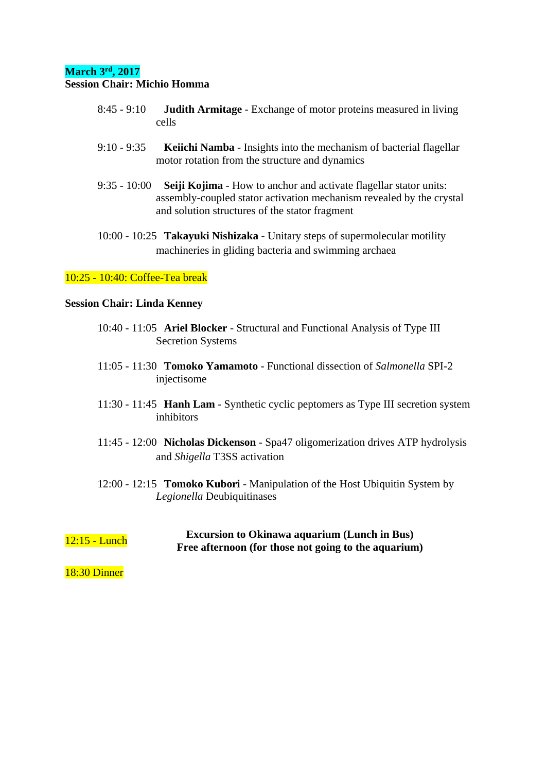# **March 3rd, 2017**

## **Session Chair: Michio Homma**

- 8:45 9:10 **Judith Armitage** Exchange of motor proteins measured in living cells
- 9:10 9:35 **Keiichi Namba** Insights into the mechanism of bacterial flagellar motor rotation from the structure and dynamics
- 9:35 10:00 **Seiji Kojima** How to anchor and activate flagellar stator units: assembly-coupled stator activation mechanism revealed by the crystal and solution structures of the stator fragment
- 10:00 10:25 **Takayuki Nishizaka** Unitary steps of supermolecular motility machineries in gliding bacteria and swimming archaea

## 10:25 - 10:40: Coffee-Tea break

#### **Session Chair: Linda Kenney**

- 10:40 11:05 **Ariel Blocker** Structural and Functional Analysis of Type III Secretion Systems
- 11:05 11:30 **Tomoko Yamamoto** Functional dissection of *Salmonella* SPI-2 injectisome
- 11:30 11:45 **Hanh Lam** Synthetic cyclic peptomers as Type III secretion system inhibitors
- 11:45 12:00 **Nicholas Dickenson** Spa47 oligomerization drives ATP hydrolysis and *Shigella* T3SS activation
- 12:00 12:15 **Tomoko Kubori** Manipulation of the Host Ubiquitin System by *Legionella* Deubiquitinases

12:15 - Lunch **Excursion to Okinawa aquarium (Lunch in Bus) Free afternoon (for those not going to the aquarium)** 

18:30 Dinner